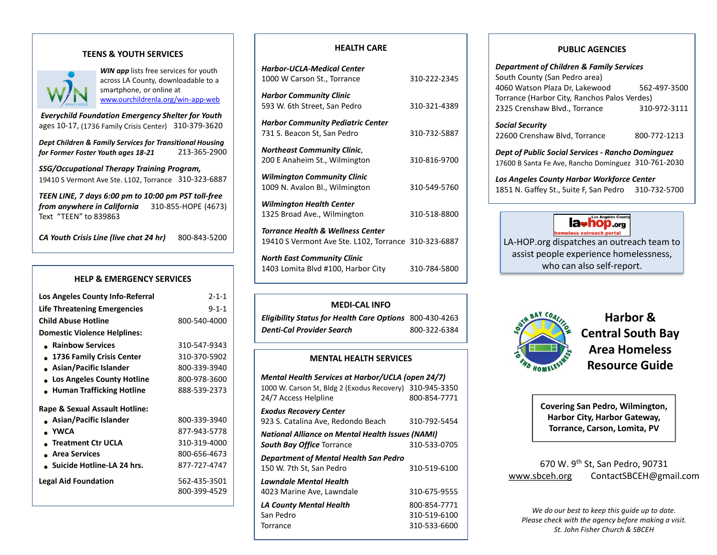### **TEENS & YOUTH SERVICES**



**WIN app** lists free services for youth across LA County, downloadable to a smartphone, or online at [www.ourchildrenla.org/win-app-web](http://www.ourchildrenla.org/win-app-web)

*Everychild Foundation Emergency Shelter for Youth*  ages 10-17, (1736 Family Crisis Center) 310-379-3620

*Dept Children & Family Services for Transitional Housing for Former Foster Youth ages 18-21* 213-365-2900

*SSG/Occupational Therapy Training Program,*  19410 S Vermont Ave Ste. L102, Torrance 310-323-6887

*TEEN LINE, 7 days 6:00 pm to 10:00 pm PST toll-free from anywhere in California* 310-855-HOPE (4673) Text "TEEN" to 839863

*CA Youth Crisis Line (live chat 24 hr)* 800-843-5200

### **HELP & EMERGENCY SERVICES**

| Los Angeles County Info-Referral    | $2 - 1 - 1$  |
|-------------------------------------|--------------|
| <b>Life Threatening Emergencies</b> | $9 - 1 - 1$  |
| <b>Child Abuse Hotline</b>          | 800-540-4000 |
| <b>Domestic Violence Helplines:</b> |              |
| • Rainbow Services                  | 310-547-9343 |
| • 1736 Family Crisis Center         | 310-370-5902 |
| Asian/Pacific Islander              | 800-339-3940 |
| • Los Angeles County Hotline        | 800-978-3600 |
| Human Trafficking Hotline           | 888-539-2373 |
| Rape & Sexual Assault Hotline:      |              |
| • Asian/Pacific Islander            | 800-339-3940 |
| - YWCA                              | 877-943-5778 |
| . Treatment Ctr UCLA                | 310-319-4000 |
| • Area Services                     | 800-656-4673 |
| $\Box$ Suicide Hotline-LA 24 hrs.   | 877-727-4747 |
| <b>Legal Aid Foundation</b>         | 562-435-3501 |
|                                     | 800-399-4529 |
|                                     |              |

### **HEALTH CARE**

| Harbor-UCLA-Medical Center                                                                           |              |
|------------------------------------------------------------------------------------------------------|--------------|
| 1000 W Carson St., Torrance                                                                          | 310-222-2345 |
| <b>Harbor Community Clinic</b><br>593 W. 6th Street, San Pedro                                       | 310-321-4389 |
| <b>Harbor Community Pediatric Center</b><br>731 S. Beacon St, San Pedro                              | 310-732-5887 |
| <b>Northeast Community Clinic,</b><br>200 E Anaheim St., Wilmington                                  | 310-816-9700 |
| <b>Wilmington Community Clinic</b><br>1009 N. Avalon Bl., Wilmington                                 | 310-549-5760 |
| <b>Wilmington Health Center</b><br>1325 Broad Ave., Wilmington                                       | 310-518-8800 |
| <b>Torrance Health &amp; Wellness Center</b><br>19410 S Vermont Ave Ste. L102, Torrance 310-323-6887 |              |
| North East Community Clinic                                                                          |              |

| <b>North East Community Clinic</b> |              |
|------------------------------------|--------------|
| 1403 Lomita Blvd #100, Harbor City | 310-784-5800 |

## **MEDI-CAL INFO**

| <b>Eligibility Status for Health Care Options</b> 800-430-4263 |              |
|----------------------------------------------------------------|--------------|
| <b>Denti-Cal Provider Search</b>                               | 800-322-6384 |

#### **MENTAL HEALTH SERVICES**

| <b>Mental Health Services at Harbor/UCLA (open 24/7)</b> |              |  |
|----------------------------------------------------------|--------------|--|
| 1000 W. Carson St, Bldg 2 (Exodus Recovery)              | 310-945-3350 |  |
| 24/7 Access Helpline                                     | 800-854-7771 |  |
| <b>Exodus Recovery Center</b>                            |              |  |
| 923 S. Catalina Ave, Redondo Beach                       | 310-792-5454 |  |
| National Alliance on Mental Health Issues (NAMI)         |              |  |
| <b>South Bay Office Torrance</b>                         | 310-533-0705 |  |
| Department of Mental Health San Pedro                    |              |  |
| 150 W. 7th St. San Pedro                                 | 310-519-6100 |  |
| Lawndale Mental Health                                   |              |  |
| 4023 Marine Ave, Lawndale                                | 310-675-9555 |  |
| LA County Mental Health                                  | 800-854-7771 |  |
| San Pedro                                                | 310-519-6100 |  |
| Torrance                                                 | 310-533-6600 |  |
|                                                          |              |  |

### **PUBLIC AGENCIES**

*Department of Children & Family Services*  South County (San Pedro area) 4060 Watson Plaza Dr, Lakewood 562-497-3500 Torrance (Harbor City, Ranchos Palos Verdes) 2325 Crenshaw Blvd., Torrance 310-972-3111 *Social Security* 22600 Crenshaw Blvd, Torrance 800-772-1213 *Dept of Public Social Services - Rancho Dominguez*  17600 B Santa Fe Ave, Rancho Dominguez 310-761-2030 *Los Angeles County Harbor Workforce Center*  1851 N. Gaffey St., Suite F, San Pedro 310-732-5700



LA-HOP.org dispatches an outreach team to assist people experience homelessness, who can also self-report.



**Harbor & Central South Bay Area Homeless Resource Guide**

**Covering San Pedro, Wilmington, Harbor City, Harbor Gateway, Torrance, Carson, Lomita, PV**

# 670 W. 9th St, San Pedro, 90731 [www.sbceh.org](http://www.sbceh.org/) ContactSBCEH@gmail.com

*We do our best to keep this guide up to date. Please check with the agency before making a visit. St. John Fisher Church & SBCEH*